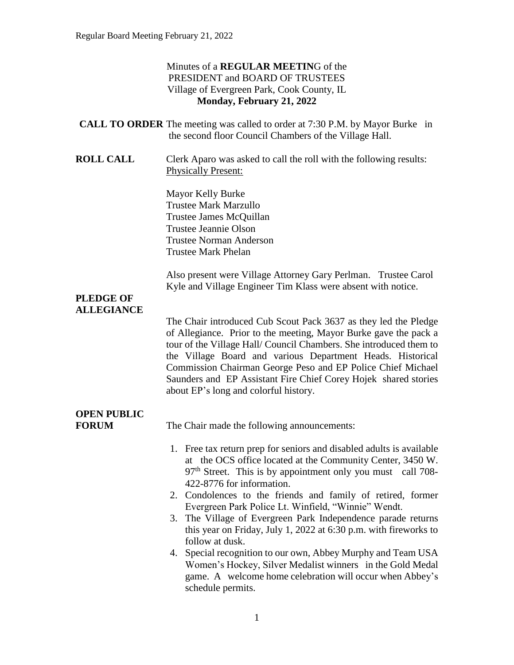### Minutes of a **REGULAR MEETIN**G of the PRESIDENT and BOARD OF TRUSTEES Village of Evergreen Park, Cook County, IL **Monday, February 21, 2022**

- **CALL TO ORDER** The meeting was called to order at 7:30 P.M. by Mayor Burke in the second floor Council Chambers of the Village Hall.
- **ROLL CALL** Clerk Aparo was asked to call the roll with the following results: Physically Present:

Mayor Kelly Burke Trustee Mark Marzullo Trustee James McQuillan Trustee Jeannie Olson Trustee Norman Anderson Trustee Mark Phelan

Also present were Village Attorney Gary Perlman. Trustee Carol Kyle and Village Engineer Tim Klass were absent with notice.

### **PLEDGE OF ALLEGIANCE**

The Chair introduced Cub Scout Pack 3637 as they led the Pledge of Allegiance. Prior to the meeting, Mayor Burke gave the pack a tour of the Village Hall/ Council Chambers. She introduced them to the Village Board and various Department Heads. Historical Commission Chairman George Peso and EP Police Chief Michael Saunders and EP Assistant Fire Chief Corey Hojek shared stories about EP's long and colorful history.

# **OPEN PUBLIC**

**FORUM** The Chair made the following announcements:

- 1. Free tax return prep for seniors and disabled adults is available at the OCS office located at the Community Center, 3450 W. 97<sup>th</sup> Street. This is by appointment only you must call 708-422-8776 for information.
- 2. Condolences to the friends and family of retired, former Evergreen Park Police Lt. Winfield, "Winnie" Wendt.
- 3. The Village of Evergreen Park Independence parade returns this year on Friday, July 1, 2022 at 6:30 p.m. with fireworks to follow at dusk.
- 4. Special recognition to our own, Abbey Murphy and Team USA Women's Hockey, Silver Medalist winners in the Gold Medal game. A welcome home celebration will occur when Abbey's schedule permits.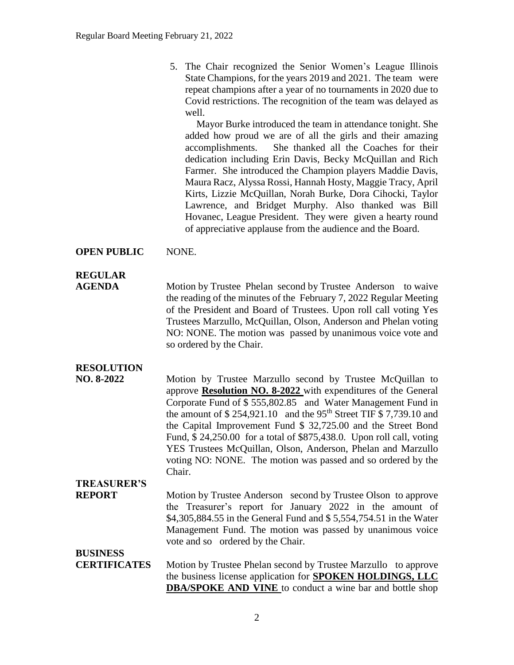5. The Chair recognized the Senior Women's League Illinois State Champions, for the years 2019 and 2021. The team were repeat champions after a year of no tournaments in 2020 due to Covid restrictions. The recognition of the team was delayed as well.

Mayor Burke introduced the team in attendance tonight. She added how proud we are of all the girls and their amazing accomplishments. She thanked all the Coaches for their dedication including Erin Davis, Becky McQuillan and Rich Farmer. She introduced the Champion players Maddie Davis, Maura Racz, Alyssa Rossi, Hannah Hosty, Maggie Tracy, April Kirts, Lizzie McQuillan, Norah Burke, Dora Cihocki, Taylor Lawrence, and Bridget Murphy. Also thanked was Bill Hovanec, League President. They were given a hearty round of appreciative applause from the audience and the Board.

### **OPEN PUBLIC** NONE.

### **REGULAR**

**AGENDA** Motion by Trustee Phelan second by Trustee Anderson to waive the reading of the minutes of the February 7, 2022 Regular Meeting of the President and Board of Trustees. Upon roll call voting Yes Trustees Marzullo, McQuillan, Olson, Anderson and Phelan voting NO: NONE. The motion was passed by unanimous voice vote and so ordered by the Chair.

### **RESOLUTION**

**NO. 8-2022** Motion by Trustee Marzullo second by Trustee McQuillan to approve **Resolution NO. 8-2022** with expenditures of the General Corporate Fund of \$ 555,802.85 and Water Management Fund in the amount of  $$ 254,921.10$  and the 95<sup>th</sup> Street TIF  $$ 7,739.10$  and the Capital Improvement Fund \$ 32,725.00 and the Street Bond Fund, \$ 24,250.00 for a total of \$875,438.0. Upon roll call, voting YES Trustees McQuillan, Olson, Anderson, Phelan and Marzullo voting NO: NONE. The motion was passed and so ordered by the Chair.

### **TREASURER'S**

**REPORT** Motion by Trustee Anderson second by Trustee Olson to approve the Treasurer's report for January 2022 in the amount of \$4,305,884.55 in the General Fund and \$ 5,554,754.51 in the Water Management Fund. The motion was passed by unanimous voice vote and so ordered by the Chair.

### **BUSINESS**

**CERTIFICATES** Motion by Trustee Phelan second by Trustee Marzullo to approve the business license application for **SPOKEN HOLDINGS, LLC DBA/SPOKE AND VINE** to conduct a wine bar and bottle shop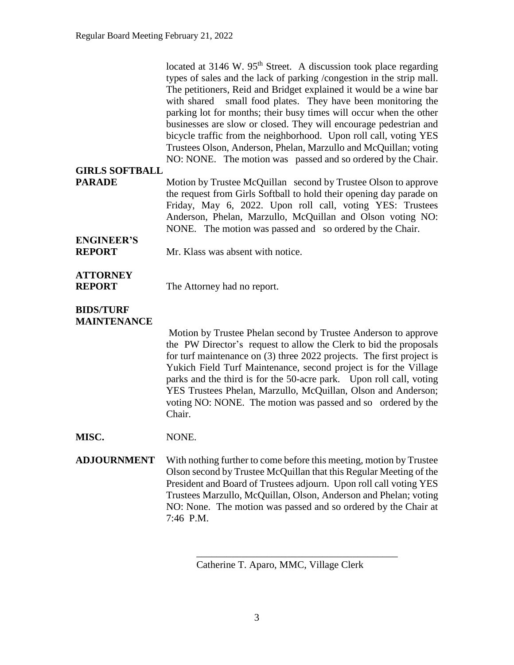located at  $3146$  W.  $95<sup>th</sup>$  Street. A discussion took place regarding types of sales and the lack of parking /congestion in the strip mall. The petitioners, Reid and Bridget explained it would be a wine bar with shared small food plates. They have been monitoring the parking lot for months; their busy times will occur when the other businesses are slow or closed. They will encourage pedestrian and bicycle traffic from the neighborhood. Upon roll call, voting YES Trustees Olson, Anderson, Phelan, Marzullo and McQuillan; voting NO: NONE. The motion was passed and so ordered by the Chair.

### **GIRLS SOFTBALL**

**PARADE** Motion by Trustee McQuillan second by Trustee Olson to approve the request from Girls Softball to hold their opening day parade on Friday, May 6, 2022. Upon roll call, voting YES: Trustees Anderson, Phelan, Marzullo, McQuillan and Olson voting NO: NONE. The motion was passed and so ordered by the Chair.

## **ENGINEER'S**

**REPORT** Mr. Klass was absent with notice.

### **ATTORNEY**

**REPORT** The Attorney had no report.

#### **BIDS/TURF MAINTENANCE**

Motion by Trustee Phelan second by Trustee Anderson to approve the PW Director's request to allow the Clerk to bid the proposals for turf maintenance on (3) three 2022 projects. The first project is Yukich Field Turf Maintenance, second project is for the Village parks and the third is for the 50-acre park. Upon roll call, voting YES Trustees Phelan, Marzullo, McQuillan, Olson and Anderson; voting NO: NONE. The motion was passed and so ordered by the Chair.

**MISC.** NONE.

**ADJOURNMENT** With nothing further to come before this meeting, motion by Trustee Olson second by Trustee McQuillan that this Regular Meeting of the President and Board of Trustees adjourn. Upon roll call voting YES Trustees Marzullo, McQuillan, Olson, Anderson and Phelan; voting NO: None. The motion was passed and so ordered by the Chair at 7:46 P.M.

Catherine T. Aparo, MMC, Village Clerk

\_\_\_\_\_\_\_\_\_\_\_\_\_\_\_\_\_\_\_\_\_\_\_\_\_\_\_\_\_\_\_\_\_\_\_\_\_\_\_\_